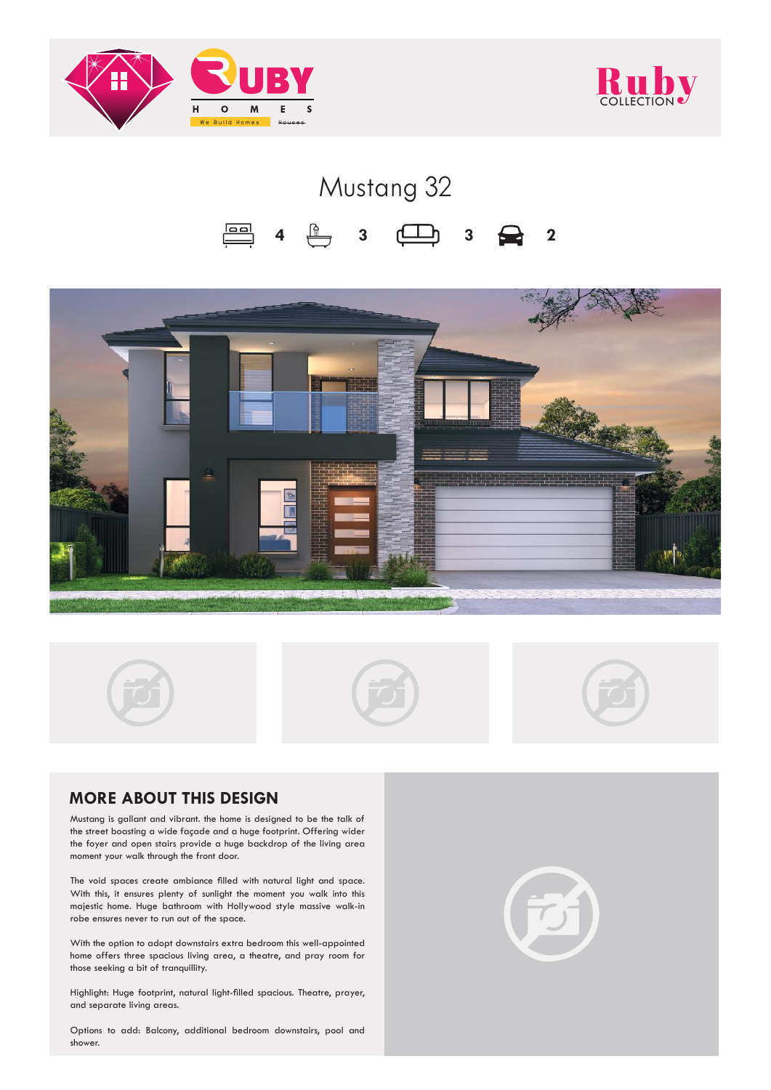



## Mustang 32  $\Box$ **4 3 3 2**





## **MORE ABOUT THIS DESIGN**

Mustang is gallant and vibrant. the home is designed to be the talk of the street boasting a wide façade and a huge footprint. Offering wider the foyer and open stairs provide a huge backdrop of the living area moment your walk through the front door.

The void spaces create ambiance filled with natural light and space. With this, it ensures plenty of sunlight the moment you walk into this majestic home. Huge bathroom with Hollywood style massive walk-in robe ensures never to run out of the space.

With the option to adopt downstairs extra bedroom this well-appointed home offers three spacious living area, a theatre, and pray room for those seeking a bit of tranquillity.

Highlight: Huge footprint, natural light-filled spacious. Theatre, prayer, and separate living areas.

Options to add: Balcony, additional bedroom downstairs, pool and shower.